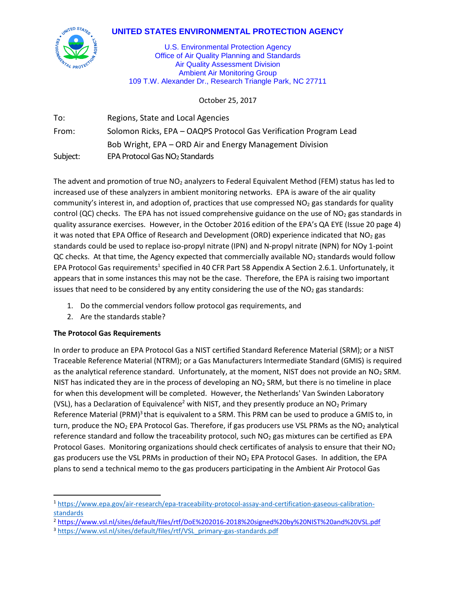# **UNITED STATES ENVIRONMENTAL PROTECTION AGENCY**



U.S. Environmental Protection Agency Office of Air Quality Planning and Standards Air Quality Assessment Division Ambient Air Monitoring Group 109 T.W. Alexander Dr., Research Triangle Park, NC 27711

October 25, 2017

| To:      | Regions, State and Local Agencies                                 |
|----------|-------------------------------------------------------------------|
| From:    | Solomon Ricks, EPA - OAQPS Protocol Gas Verification Program Lead |
|          | Bob Wright, EPA – ORD Air and Energy Management Division          |
| Subject: | EPA Protocol Gas NO <sub>2</sub> Standards                        |

The advent and promotion of true  $NO<sub>2</sub>$  analyzers to Federal Equivalent Method (FEM) status has led to increased use of these analyzers in ambient monitoring networks. EPA is aware of the air quality community's interest in, and adoption of, practices that use compressed  $NO<sub>2</sub>$  gas standards for quality control (QC) checks. The EPA has not issued comprehensive guidance on the use of  $NO<sub>2</sub>$  gas standards in quality assurance exercises. However, in the October 2016 edition of the EPA's QA EYE (Issue 20 page 4) it was noted that EPA Office of Research and Development (ORD) experience indicated that  $NO<sub>2</sub>$  gas standards could be used to replace iso-propyl nitrate (IPN) and N-propyl nitrate (NPN) for NOy 1-point QC checks. At that time, the Agency expected that commercially available  $NO<sub>2</sub>$  standards would follow EPA Protocol Gas requirements<sup>1</sup> specified in 40 CFR Part 58 Appendix A Section 2.6.1. Unfortunately, it appears that in some instances this may not be the case. Therefore, the EPA is raising two important issues that need to be considered by any entity considering the use of the  $NO<sub>2</sub>$  gas standards:

- 1. Do the commercial vendors follow protocol gas requirements, and
- 2. Are the standards stable?

#### **The Protocol Gas Requirements**

 $\overline{a}$ 

In order to produce an EPA Protocol Gas a NIST certified Standard Reference Material (SRM); or a NIST Traceable Reference Material (NTRM); or a Gas Manufacturers Intermediate Standard (GMIS) is required as the analytical reference standard. Unfortunately, at the moment, NIST does not provide an NO<sub>2</sub> SRM. NIST has indicated they are in the process of developing an  $NO<sub>2</sub>$  SRM, but there is no timeline in place for when this development will be completed. However, the Netherlands' Van Swinden Laboratory (VSL), has a Declaration of Equivalence<sup>2</sup> with NIST, and they presently produce an NO<sub>2</sub> Primary Reference Material (PRM)<sup>3</sup> that is equivalent to a SRM. This PRM can be used to produce a GMIS to, in turn, produce the  $NO<sub>2</sub>$  EPA Protocol Gas. Therefore, if gas producers use VSL PRMs as the  $NO<sub>2</sub>$  analytical reference standard and follow the traceability protocol, such  $NO<sub>2</sub>$  gas mixtures can be certified as EPA Protocol Gases. Monitoring organizations should check certificates of analysis to ensure that their NO<sub>2</sub> gas producers use the VSL PRMs in production of their NO<sub>2</sub> EPA Protocol Gases. In addition, the EPA plans to send a technical memo to the gas producers participating in the Ambient Air Protocol Gas

<sup>1</sup> [https://www.epa.gov/air-research/epa-traceability-protocol-assay-and-certification-gaseous-calibration](https://www.epa.gov/air-research/epa-traceability-protocol-assay-and-certification-gaseous-calibration-standards)[standards](https://www.epa.gov/air-research/epa-traceability-protocol-assay-and-certification-gaseous-calibration-standards)

<sup>2</sup> <https://www.vsl.nl/sites/default/files/rtf/DoE%202016-2018%20signed%20by%20NIST%20and%20VSL.pdf>

<sup>3</sup> [https://www.vsl.nl/sites/default/files/rtf/VSL\\_primary-gas-standards.pdf](https://www.vsl.nl/sites/default/files/rtf/VSL_primary-gas-standards.pdf)